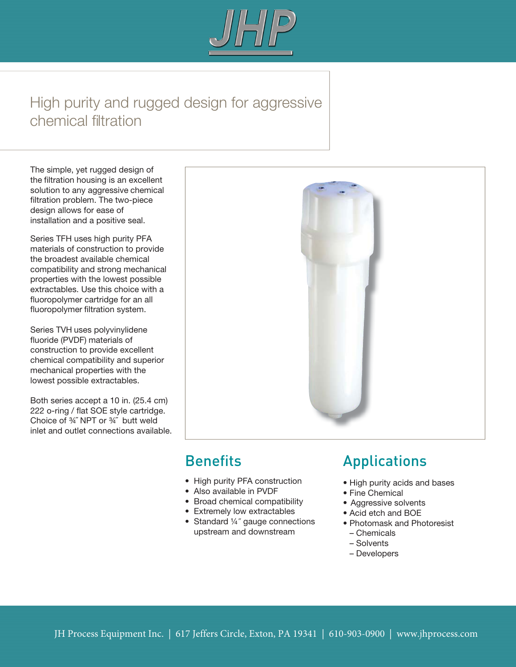

# High purity and rugged design for aggressive chemical filtration

The simple, yet rugged design of the filtration housing is an excellent solution to any aggressive chemical filtration problem. The two-piece design allows for ease of installation and a positive seal.

Series TFH uses high purity PFA materials of construction to provide the broadest available chemical compatibility and strong mechanical properties with the lowest possible extractables. Use this choice with a fluoropolymer cartridge for an all fluoropolymer filtration system.

Series TVH uses polyvinylidene fluoride (PVDF) materials of construction to provide excellent chemical compatibility and superior mechanical properties with the lowest possible extractables.

Both series accept a 10 in. (25.4 cm) 222 o-ring / flat SOE style cartridge. Choice of ¾˝ NPT or ¾˝ butt weld inlet and outlet connections available.



# **Benefits**

- High purity PFA construction
- Also available in PVDF
- Broad chemical compatibility
- Extremely low extractables
- Standard 1/4" gauge connections upstream and downstream

# Applications

- High purity acids and bases
- Fine Chemical
- Aggressive solvents
- Acid etch and BOE
- Photomask and Photoresist
- Chemicals
- Solvents
- Developers